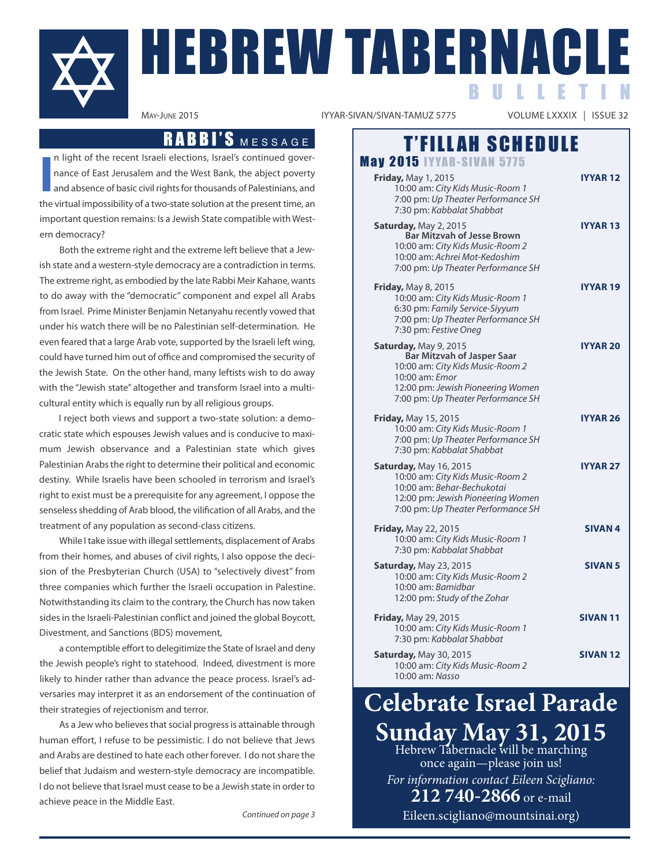

# HEBREW TABERNACLE B U L L E T I N

IYYAR-SIVAN/SIVAN-TAMUZ 5775

#### RABBI'S MESSAGE | T'FILLAH SCHEDULE **May 2015 IYYAR-SIVAN 5775 Friday,** May 1, 2015 **iyar 12** 10:00 am: City Kids Music-Room 1 7:00 pm: Up Theater Performance SH 7:30 pm: Kabbalat Shabbat **Saturday, May 2, 2015 <b>in the Case of the USAR 13 Bar Mitzvah of Jesse Brown** 10:00 am: City Kids Music-Room 2 10:00 am: Achrei Mot-Kedoshim 7:00 pm: Up Theater Performance SH **Friday,** May 8, 2015 **iyyar 19** 10:00 am: City Kids Music-Room 1 6:30 pm: Family Service-Siyyum 7:00 pm: Up Theater Performance SH 7:30 pm: Festive Oneg **Saturday, May 9, 2015 <b>in the USA CONGREGATE in the USA CONGREGATE in the USA CONGREGATE Bar Mitzvah of Jasper Saar** 10:00 am: City Kids Music-Room 2 10:00 am: Emor 12:00 pm: Jewish Pioneering Women 7:00 pm: Up Theater Performance SH **Friday, May 15, 2015 in the USA CONSERVANT CONSERVANT CONSERVANT CONSERVANT CONSERVANT CONSERVANT CONSERVANT CONSERVANT CONSERVANT CONSERVANT CONSERVANT CONSERVANT CONSERVANT CONSERVANT CONSERVANT CONSERVANT CONSERVANT** 10:00 am: City Kids Music-Room 1 7:00 pm: Up Theater Performance SH 7:30 pm: Kabbalat Shabbat **Saturday, May 16, 2015 <b>in the USA CONTAINS IVYAR 27** 10:00 am: City Kids Music-Room 2 10:00 am: Behar-Bechukotai 12:00 pm: Jewish Pioneering Women 7:00 pm: Up Theater Performance SH **Friday, May 22, 2015 SIVAN 4** 10:00 am: City Kids Music-Room 1 7:30 pm: Kabbalat Shabbat **Saturday, May 23, 2015 SiVAN 5** 10:00 am: City Kids Music-Room 2 10:00 am: Bamidbar 12:00 pm: Study of the Zohar **Friday, May 29, 2015 SIVAN 11** 10:00 am: City Kids Music-Room 1 7:30 pm: Kabbalat Shabbat **Saturday, May 30, 2015 SIVAN 12** 10:00 am: City Kids Music-Room 2 10:00 am: Nasso

# **Celebrate Israel Parade** Sunday May 31, 2015<br>Hebrew Tabernacle will be marching

once again—please join us! *For information contact Eileen Scigliano:* **212 740-2866** or e-mail

Eileen.scigliano@mountsinai.org)

**i** n light of the recent Israeli elections, Israel's continued governance of East Jerusalem and the West Bank, the abject poverty and absence of basic civil rights for thousands of Palestinians, and the virtual impossibility of a two-state solution at the present time, an important question remains: Is a Jewish State compatible with Western democracy?

Both the extreme right and the extreme left believe that a Jewish state and a western-style democracy are a contradiction in terms. The extreme right, as embodied by the late Rabbi Meir Kahane, wants to do away with the "democratic" component and expel all Arabs from Israel. Prime Minister Benjamin Netanyahu recently vowed that under his watch there will be no Palestinian self-determination. He even feared that a large Arab vote, supported by the Israeli left wing, could have turned him out of office and compromised the security of the Jewish State. On the other hand, many leftists wish to do away with the "Jewish state" altogether and transform Israel into a multicultural entity which is equally run by all religious groups.

I reject both views and support a two-state solution: a democratic state which espouses Jewish values and is conducive to maximum Jewish observance and a Palestinian state which gives Palestinian Arabs the right to determine their political and economic destiny. While Israelis have been schooled in terrorism and Israel's right to exist must be a prerequisite for any agreement, I oppose the senseless shedding of Arab blood, the vilification of all Arabs, and the treatment of any population as second-class citizens.

While I take issue with illegal settlements, displacement of Arabs from their homes, and abuses of civil rights, I also oppose the decision of the Presbyterian Church (USA) to "selectively divest" from three companies which further the Israeli occupation in Palestine. notwithstanding its claim to the contrary, the Church has now taken sides in the Israeli-Palestinian conflict and joined the global Boycott, Divestment, and Sanctions (BDS) movement,

a contemptible effort to delegitimize the State of Israel and deny the Jewish people's right to statehood. Indeed, divestment is more likely to hinder rather than advance the peace process. Israel's adversaries may interpret it as an endorsement of the continuation of their strategies of rejectionism and terror.

As a Jew who believes that social progress is attainable through human effort, I refuse to be pessimistic. I do not believe that Jews and arabs are destined to hate each other forever. I do not share the belief that Judaism and western-style democracy are incompatible. I do not believe that Israel must cease to be a Jewish state in order to achieve peace in the Middle East.

Continued on page 3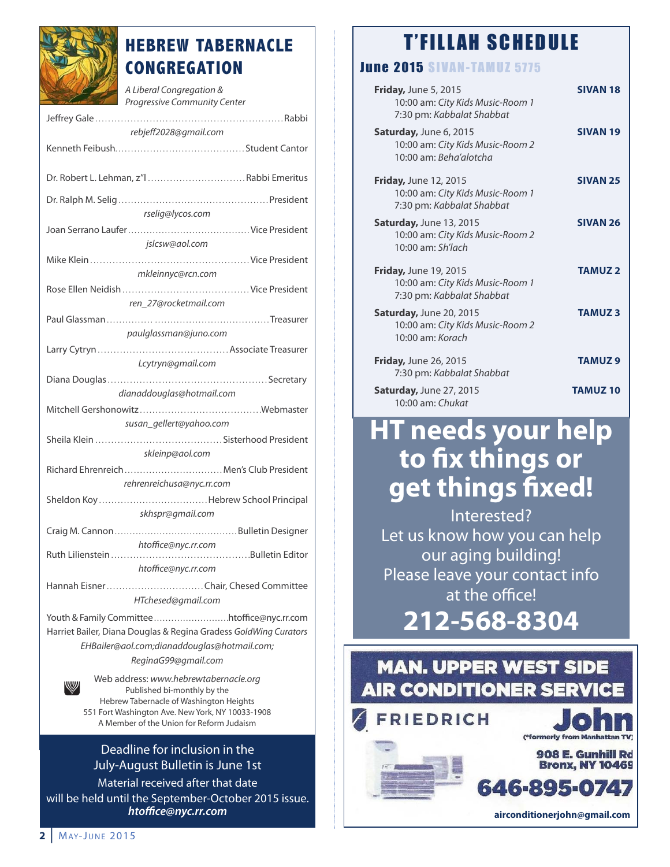

# **HEBREW TABERNACLE CONGREGATION**

A Liberal Congregation & Progressive Community Center

| rebjeff2028@gmail.com                                                                       |
|---------------------------------------------------------------------------------------------|
|                                                                                             |
| Dr. Robert L. Lehman, z"l  Rabbi Emeritus                                                   |
|                                                                                             |
| rselig@lycos.com                                                                            |
| jslcsw@aol.com                                                                              |
|                                                                                             |
| mkleinnyc@rcn.com                                                                           |
|                                                                                             |
| ren 27@rocketmail.com                                                                       |
|                                                                                             |
| paulglassman@juno.com                                                                       |
| Lcytryn@gmail.com                                                                           |
|                                                                                             |
|                                                                                             |
| dianaddouglas@hotmail.com                                                                   |
|                                                                                             |
| susan_gellert@yahoo.com                                                                     |
|                                                                                             |
| skleinp@aol.com                                                                             |
| Richard Ehrenreich  Men's Club President                                                    |
| rehrenreichusa@nyc.rr.com                                                                   |
|                                                                                             |
| skhspr@gmail.com                                                                            |
|                                                                                             |
|                                                                                             |
| htoffice@nyc.rr.com                                                                         |
| htoffice@nyc.rr.com                                                                         |
|                                                                                             |
| HTchesed@gmail.com                                                                          |
| Youth & Family Committee htoffice@nyc.rr.com                                                |
| Harriet Bailer, Diana Douglas & Regina Gradess GoldWing Curators                            |
|                                                                                             |
| EHBailer@aol.com;dianaddouglas@hotmail.com;                                                 |
| ReginaG99@gmail.com                                                                         |
| Web address: www.hebrewtabernacle.org                                                       |
| W<br>Published bi-monthly by the                                                            |
| Hebrew Tabernacle of Washington Heights<br>551 Fort Washington Ave. New York, NY 10033-1908 |
| A Member of the Union for Reform Judaism                                                    |
|                                                                                             |

## Deadline for inclusion in the July-august Bulletin is June 1st

Material received after that date will be held until the September-october 2015 issue. *htoffice@nyc.rr.com*

# **T'FILLAH SCHEDULE**

# **June 2015 SIVAN-TAMUZ 5775**

| <b>Friday, June 5, 2015</b><br>10:00 am: City Kids Music-Room 1<br>7:30 pm: Kabbalat Shabbat  | <b>SIVAN 18</b>    |
|-----------------------------------------------------------------------------------------------|--------------------|
| <b>Saturday, June 6, 2015</b><br>10:00 am: City Kids Music-Room 2<br>10:00 am: Beha'alotcha   | <b>SIVAN 19</b>    |
| <b>Friday, June 12, 2015</b><br>10:00 am: City Kids Music-Room 1<br>7:30 pm: Kabbalat Shabbat | <b>SIVAN 25</b>    |
| <b>Saturday, June 13, 2015</b><br>10:00 am: City Kids Music-Room 2<br>$10:00$ am: Sh'lach     | <b>SIVAN 26</b>    |
| <b>Friday, June 19, 2015</b><br>10:00 am: City Kids Music-Room 1<br>7:30 pm: Kabbalat Shabbat | <b>TAMUZ2</b>      |
| Saturday, June 20, 2015<br>10:00 am: City Kids Music-Room 2<br>10:00 am: Korach               | <b>TAMUZ3</b>      |
| <b>Friday, June 26, 2015</b><br>7:30 pm: Kabbalat Shabbat                                     | TAMUZ <sub>9</sub> |
| <b>Saturday, June 27, 2015</b><br>10:00 am: Chukat                                            | <b>TAMUZ10</b>     |

# **HT needs your help to fix things or get things fixed!**

Interested? Let us know how you can help our aging building! Please leave your contact info at the office!

**212-568-8304**

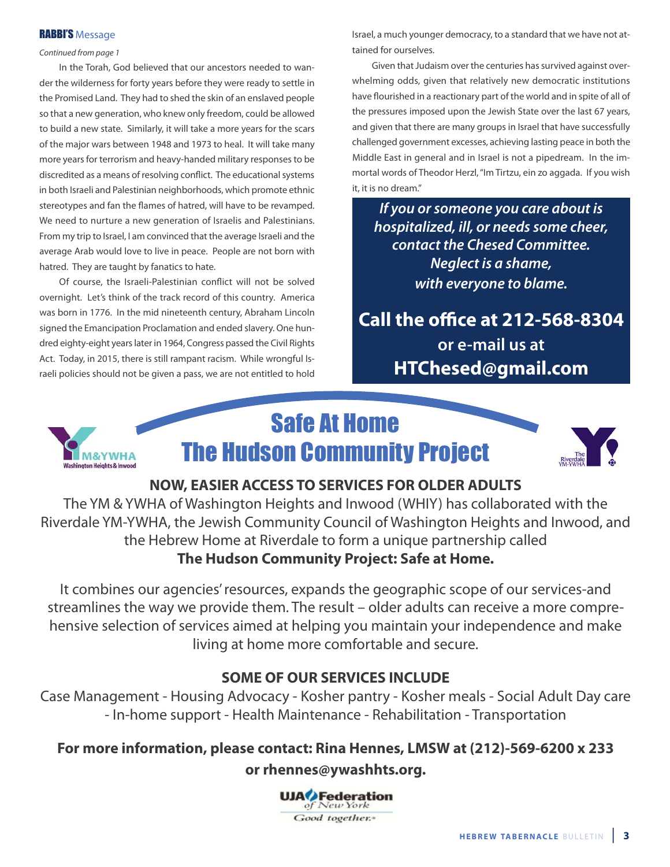#### RABBI'S Message

Continued from page 1

In the Torah, God believed that our ancestors needed to wander the wilderness for forty years before they were ready to settle in the Promised land. They had to shed the skin of an enslaved people so that a new generation, who knew only freedom, could be allowed to build a new state. Similarly, it will take a more years for the scars of the major wars between 1948 and 1973 to heal. It will take many more years for terrorism and heavy-handed military responses to be discredited as a means of resolving conflict. The educational systems in both Israeli and Palestinian neighborhoods, which promote ethnic stereotypes and fan the flames of hatred, will have to be revamped. We need to nurture a new generation of Israelis and Palestinians. From my trip to Israel, I am convinced that the average Israeli and the average Arab would love to live in peace. People are not born with hatred. They are taught by fanatics to hate.

of course, the Israeli-Palestinian conflict will not be solved overnight. Let's think of the track record of this country. America was born in 1776. In the mid nineteenth century, abraham lincoln signed the Emancipation Proclamation and ended slavery. One hundred eighty-eight years later in 1964, Congress passed the Civil Rights Act. Today, in 2015, there is still rampant racism. While wrongful Israeli policies should not be given a pass, we are not entitled to hold

Israel, a much younger democracy, to a standard that we have not attained for ourselves.

Given that Judaism over the centuries has survived against overwhelming odds, given that relatively new democratic institutions have flourished in a reactionary part of the world and in spite of all of the pressures imposed upon the Jewish State over the last 67 years, and given that there are many groups in Israel that have successfully challenged government excesses, achieving lasting peace in both the Middle East in general and in Israel is not a pipedream. In the immortal words of Theodor Herzl, "Im Tirtzu, ein zo aggada. If you wish it, it is no dream."

*If you or someone you care about is hospitalized, ill, or needs some cheer, contact the Chesed Committee. Neglect is a shame, with everyone to blame.*

**Call the office at 212-568-8304 or e-mail us at HTChesed@gmail.com**



# Safe At Home The Hudson Community Project



## **nOW, EaSiEr aCCESS TO SErviCES FOr OLDEr aDuLTS**

The yM & yWHa of Washington Heights and Inwood (WHIy) has collaborated with the Riverdale yM-yWHa, the Jewish Community Council of Washington Heights and Inwood, and the Hebrew Home at Riverdale to form a unique partnership called **The Hudson Community Project: Safe at Home.**

It combines our agencies' resources, expands the geographic scope of our services-and streamlines the way we provide them. The result – older adults can receive a more comprehensive selection of services aimed at helping you maintain your independence and make living at home more comfortable and secure.

## **SOmE OF Our SErviCES inCLuDE**

Case Management - Housing Advocacy - Kosher pantry - Kosher meals - Social Adult Day care - In-home support - Health Maintenance - Rehabilitation - Transportation

## For more information, please contact: Rina Hennes, LMSW at (212)-569-6200 x 233

**or rhennes@ywashhts.org.**

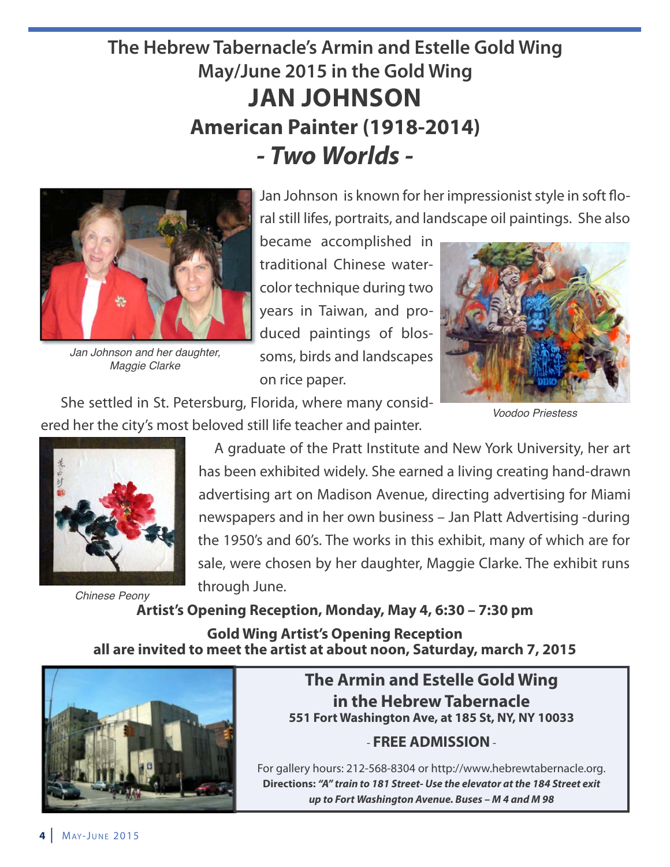# **The Hebrew Tabernacle's Armin and Estelle Gold Wing May/June 2015 in the Gold Wing Jan JOHnSOn american Painter (1918-2014)** *- Two Worlds -*



*Jan Johnson and her daughter, Maggie Clarke*

Jan Johnson is known for her impressionist style in soft floral still lifes, portraits, and landscape oil paintings. She also

became accomplished in traditional Chinese watercolor technique during two years in Taiwan, and produced paintings of blossoms, birds and landscapes on rice paper.

She settled in St. Petersburg, Florida, where many considered her the city's most beloved still life teacher and painter.



*Voodoo Priestess*



A graduate of the Pratt Institute and New York University, her art has been exhibited widely. She earned a living creating hand-drawn advertising art on Madison Avenue, directing advertising for Miami newspapers and in her own business – Jan Platt advertising -during the 1950's and 60's. The works in this exhibit, many of which are for sale, were chosen by her daughter, Maggie Clarke. The exhibit runs through June.

Artist's Opening Reception, Monday, May 4, 6:30 – 7:30 pm *Chinese Peony*

**Gold Wing Artist's Opening Reception all are invited to meet the artist at about noon, Saturday, march 7, 2015**



**The armin and Estelle Gold Wing in the Hebrew Tabernacle 551 Fort Washington ave, at 185 St, ny, ny 10033**

# - **FrEE aDmiSSiOn**-

For gallery hours: 212-568-8304 or http://www.hebrewtabernacle.org. **Directions:** *"A" train to 181 Street- Use the elevator at the 184 Street exit up to Fort Washington Avenue. Buses – M 4 and M 98*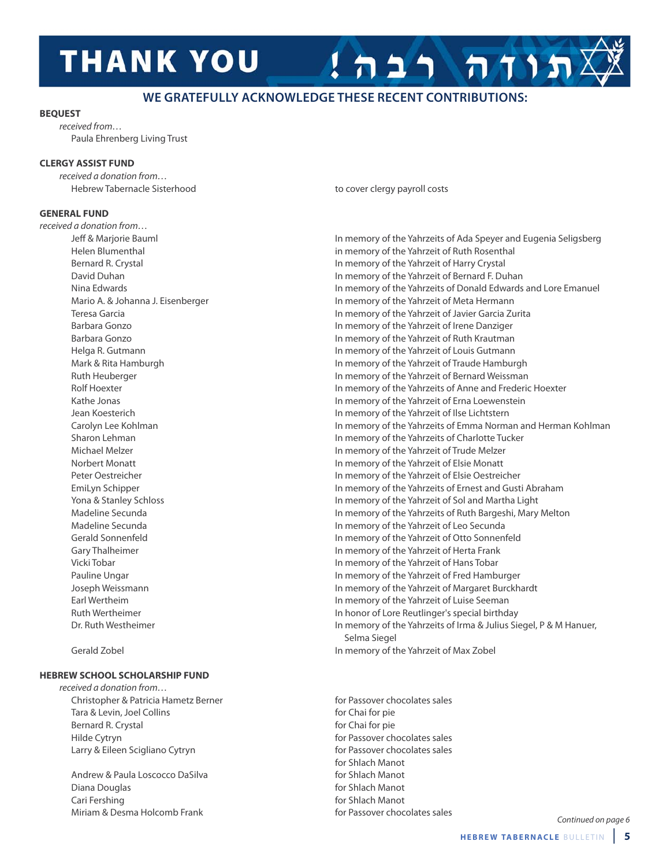# **THANK YOU**

### **WE GRATEFULLY ACKNOWLEDGE THESE RECENT CONTRIBUTIONS:**

#### **bEQuEST**

received from… Paula ehrenberg living Trust

#### **CLErGy aSSiST FunD**

received a donation from… Hebrew Tabernacle Sisterhood to cover clergy payroll costs

#### **GEnEraL FunD**

received a donation from…

### **HEbrEW SCHOOL SCHOLarSHiP FunD**

received a donation from… Christopher & Patricia Hametz Berner for Passover chocolates sales Tara & Levin, Joel Collins for Chai for pie Bernard R. Crystal **For Chair and R. Crystal** for Chai for pie Hilde Cytryn **For Passover chocolates sales higher for Passover chocolates sales** Larry & Eileen Scigliano Cytryn for Passover chocolates sales

Andrew & Paula Loscocco DaSilva for Shlach Manot Diana Douglas **for Shlach Manot** Cari Fershing for Shlach Manot Miriam & Desma Holcomb Frank for Passover chocolates sales

תותה רבה

Jeff & Marjorie Bauml In memory of the yahrzeits of ada Speyer and eugenia Seligsberg Helen Blumenthal in memory of the yahrzeit of Ruth Rosenthal Bernard R. Crystal **In memory of the Yahrzeit of Harry Crystal** In memory of the Yahrzeit of Harry Crystal David Duhan **In memory of the Yahrzeit of Bernard F. Duhan** In memory of the Yahrzeit of Bernard F. Duhan nina edwards In memory of the yahrzeits of Donald edwards and lore emanuel Mario A. & Johanna J. Eisenberger **In Meta Hermann** In memory of the Yahrzeit of Meta Hermann Teresa Garcia In memory of the yahrzeit of Javier Garcia Zurita Barbara Gonzo **In memory of the Yahrzeit of Irene Danziger** In memory of the Yahrzeit of Irene Danziger Barbara Gonzo **In memory of the Yahrzeit of Ruth Krautman** Helga R. Gutmann In memory of the yahrzeit of louis Gutmann Mark & Rita Hamburgh **In memory of the Yahrzeit of Traude Hamburgh** In memory of the Yahrzeit of Traude Hamburgh Ruth Heuberger In memory of the yahrzeit of Bernard Weissman Rolf Hoexter **In memory of the Yahrzeits of Anne and Frederic Hoexter In memory of the Yahrzeits of Anne and Frederic Hoexter** Kathe Jonas **In memory of the Yahrzeit of Erna Loewenstein** Jean Koesterich In memory of the yahrzeit of Ilse lichtstern Carolyn Lee Kohlman **In memory of the Yahrzeits of Emma Norman and Herman Kohlman** Sharon Lehman **In memory of the Yahrzeits of Charlotte Tucker** In memory of the Yahrzeits of Charlotte Tucker Michael Melzer **In memory of the Yahrzeit of Trude Melzer** In memory of the Yahrzeit of Trude Melzer norbert Monatt In memory of the yahrzeit of elsie Monatt Peter Oestreicher **In memory of the Yahrzeit of Elsie Oestreicher** In memory of the Yahrzeit of Elsie Oestreicher Emilyn Schipper **In memory of the Yahrzeits of Ernest and Gusti Abraham** yona & Stanley Schloss In memory of the yahrzeit of Sol and Martha light Madeline Secunda **In memory of the Yahrzeits of Ruth Bargeshi**, Mary Melton Madeline Secunda **In memory of the Yahrzeit of Leo Secunda** In memory of the Yahrzeit of Leo Secunda Gerald Sonnenfeld **In the South In memory of the Yahrzeit of Otto Sonnenfeld** Gary Thalheimer **In memory of the Yahrzeit of Herta Frank** Vicki Tobar In memory of the yahrzeit of Hans Tobar Pauline Ungar **In memory of the Yahrzeit of Fred Hamburger** In memory of the Yahrzeit of Fred Hamburger Joseph Weissmann In memory of the yahrzeit of Margaret Burckhardt Earl Wertheim **In memory of the Yahrzeit of Luise Seeman** Ruth Wertheimer **In honor of Lore Reutlinger's special birthday** Dr. Ruth Westheimer **In memory of the Yahrzeits of Irma & Julius Siegel**, P & M Hanuer, Selma Siegel Gerald Zobel In memory of the yahrzeit of Max Zobel

for Shlach Manot

Continued on page 6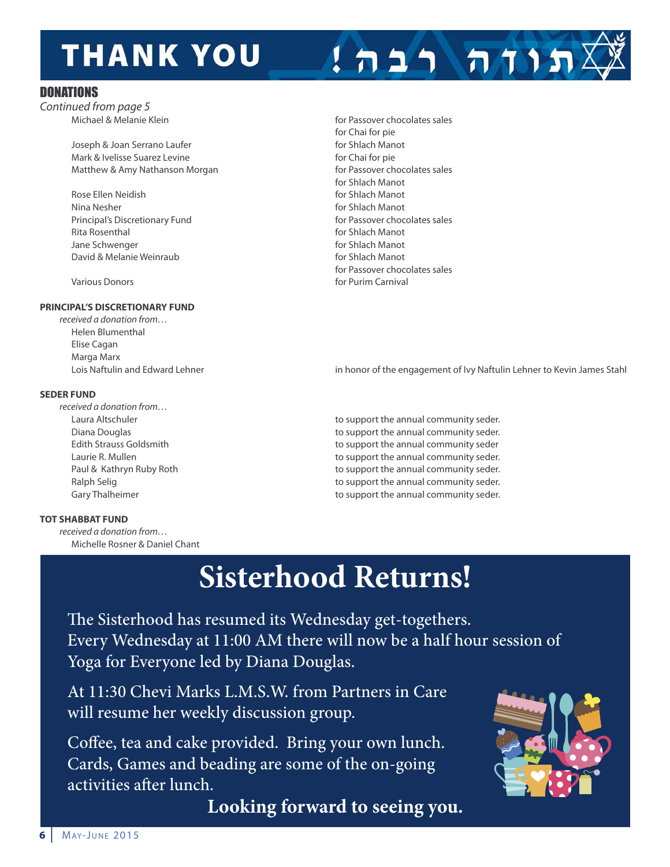# **THANK YOU**

### DONATIONS

Continued from page 5<br>Michael & Melanie Klein

Joseph & Joan Serrano Laufer **for Shlach Manot** for Shlach Manot Mark & Ivelisse Suarez Levine for Chai for pie Matthew & Amy Nathanson Morgan delay and the passover chocolates sales

Rose Ellen Neidish **for Shlach Manot for Shlach Manot** nina Nesher **For Ship and The Ship and The Ship and The Ship and The Ship and The Ship and The Ship and The Ship and The Ship and The Ship and The Ship and The Ship and The Ship and The Ship and The Ship and The Ship and T** Principal's Discretionary Fund Fund for Passover chocolates sales Rita Rosenthal **For Ship Accord Manot** For Shlach Manot Jane Schwenger **for Shlach Manot** For Shlach Manot David & Melanie Weinraub **Example 20** and the Shach Manot

#### **PrinCiPaL'S DiSCrETiOnary FunD**

received a donation from… Helen Blumenthal Elise Cagan Marga Marx

#### **SEDEr FunD**

received a donation from…

#### **TOT SHabbaT FunD**

received a donation from… Michelle Rosner & Daniel Chant

for Passover chocolates sales for Chai for pie for Shlach Manot for Passover chocolates sales Various Donors **for Purim Carnival** 

תוחה רבה!

Lois Naftulin and Edward Lehner in honor of the engagement of Ivy Naftulin Lehner to Kevin James Stahl

laura altschuler to support the annual community seder. Diana Douglas to support the annual community seder. Edith Strauss Goldsmith to support the annual community seder Laurie R. Mullen to support the annual community seder. Paul & Kathryn Ruby Roth to support the annual community seder. Ralph Selig to support the annual community seder. Gary Thalheimer the support the annual community seder.

# **Sisterhood Returns!**

The Sisterhood has resumed its Wednesday get-togethers. Every Wednesday at 11:00 AM there will now be a half hour session of Yoga for Everyone led by Diana Douglas.

At 11:30 Chevi Marks L.M.S.W. from Partners in Care will resume her weekly discussion group.

Coffee, tea and cake provided. Bring your own lunch. Cards, Games and beading are some of the on-going activities after lunch.

**Looking forward to seeing you.**

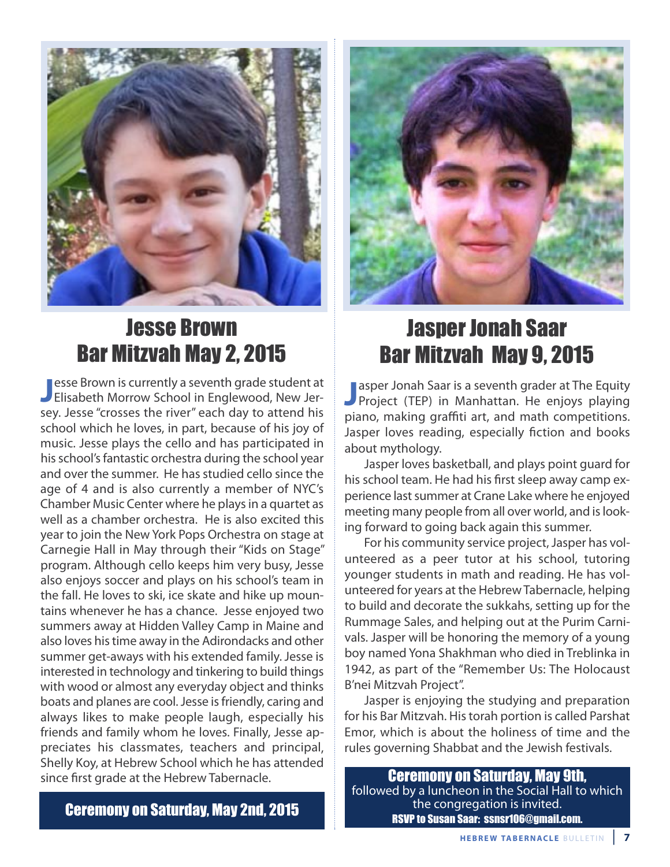

# Jesse Brown Bar Mitzvah May 2, 2015

**J** esse Brown is currently a seventh grade student at<br>**J** Elisabeth Morrow School in Englewood, New Jeresse Brown is currently a seventh grade student at sey. Jesse "crosses the river" each day to attend his school which he loves, in part, because of his joy of music. Jesse plays the cello and has participated in his school's fantastic orchestra during the school year and over the summer. He has studied cello since the age of 4 and is also currently a member of nyC's Chamber Music Center where he plays in a quartet as well as a chamber orchestra. He is also excited this year to join the New York Pops Orchestra on stage at Carnegie Hall in May through their "Kids on Stage" program. although cello keeps him very busy, Jesse also enjoys soccer and plays on his school's team in the fall. He loves to ski, ice skate and hike up mountains whenever he has a chance. Jesse enjoyed two summers away at Hidden Valley Camp in Maine and also loves his time away in the Adirondacks and other summer get-aways with his extended family. Jesse is interested in technology and tinkering to build things with wood or almost any everyday object and thinks boats and planes are cool. Jesse is friendly, caring and always likes to make people laugh, especially his friends and family whom he loves. Finally, Jesse appreciates his classmates, teachers and principal, Shelly Koy, at Hebrew School which he has attended since first grade at the Hebrew Tabernacle.



# Jasper Jonah Saar Bar Mitzvah May 9, 2015

**J** Jasper Jonah Saar is a seventh grader at The Equity<br>Project (TEP) in Manhattan. He enjoys playing asper Jonah Saar is a seventh grader at The Equity piano, making graffiti art, and math competitions. Jasper loves reading, especially fiction and books about mythology.

Jasper loves basketball, and plays point guard for his school team. He had his first sleep away camp experience last summer at Crane lake where he enjoyed meeting many people from all over world, and is looking forward to going back again this summer.

For his community service project, Jasper has volunteered as a peer tutor at his school, tutoring younger students in math and reading. He has volunteered for years at the Hebrew Tabernacle, helping to build and decorate the sukkahs, setting up for the Rummage Sales, and helping out at the Purim Carnivals. Jasper will be honoring the memory of a young boy named yona Shakhman who died in Treblinka in 1942, as part of the "Remember Us: The Holocaust B'nei Mitzvah Project".

Jasper is enjoying the studying and preparation for his Bar Mitzvah. His torah portion is called Parshat Emor, which is about the holiness of time and the rules governing Shabbat and the Jewish festivals.

Ceremony on Saturday, May 9th, followed by a luncheon in the Social Hall to which the congregation is invited. **Ceremony on Saturday, May 2nd, 2015**<br>RSVP to Susan Saar: ssnsr106@gmail.com.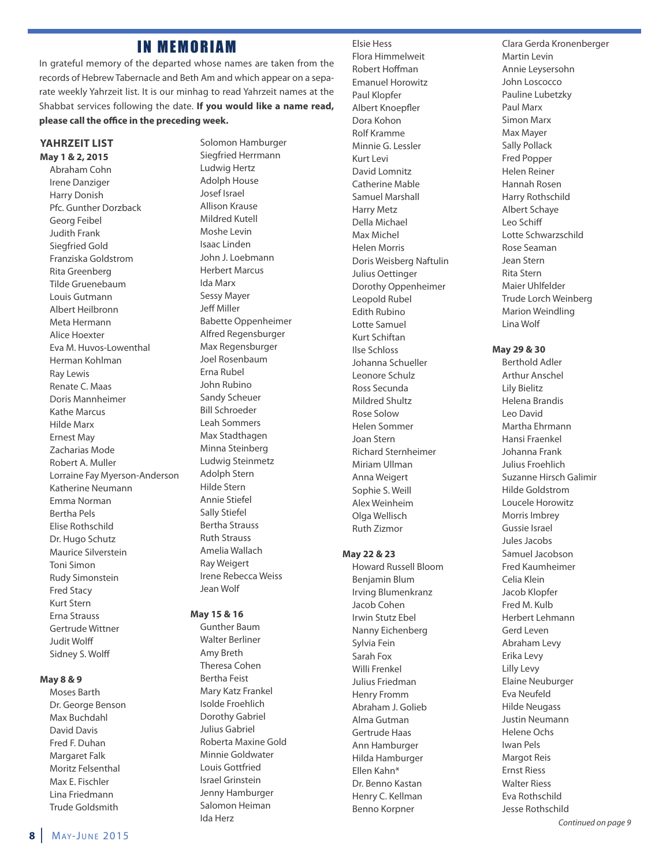## **IN MEMORIAM**

In grateful memory of the departed whose names are taken from the records of Hebrew Tabernacle and Beth Am and which appear on a separate weekly Yahrzeit list. It is our minhag to read Yahrzeit names at the Shabbat services following the date. **if you would like a name read, please call the office in the preceding week.**

#### **yaHrzEiT LiST may 1 & 2, 2015**

abraham Cohn Irene Danziger Harry Donish Pfc. Gunther Dorzback Georg Feibel Judith Frank Siegfried Gold Franziska Goldstrom Rita Greenberg Tilde Gruenebaum louis Gutmann albert Heilbronn Meta Hermann alice Hoexter eva M. Huvos-lowenthal Herman Kohlman Ray lewis Renate C. Maas Doris Mannheimer Kathe Marcus Hilde Marx **Ernest May** Zacharias Mode Robert A. Muller Lorraine Fay Myerson-Anderson Katherine Neumann Emma Norman Bertha Pels elise Rothschild Dr. Hugo Schutz Maurice Silverstein Toni Simon Rudy Simonstein Fred Stacy Kurt Stern Erna Strauss Gertrude Wittner Judit Wolff Sidney S. Wolff

#### **may 8 & 9**

Moses Barth Dr. George Benson Max Buchdahl David Davis Fred F. Duhan Margaret Falk Moritz Felsenthal Max F. Fischler lina Friedmann Trude Goldsmith

Solomon Hamburger Siegfried Herrmann ludwig Hertz adolph House Josef Israel allison Krause Mildred Kutell Moshe levin Isaac linden John J. loebmann Herbert Marcus Ida Marx Sessy Mayer Jeff Miller Babette oppenheimer alfred Regensburger Max Regensburger Joel Rosenbaum erna Rubel John Rubino Sandy Scheuer Bill Schroeder leah Sommers Max Stadthagen Minna Steinberg ludwig Steinmetz adolph Stern Hilde Stern annie Stiefel Sally Stiefel Bertha Strauss Ruth Strauss amelia Wallach Ray Weigert Irene Rebecca Weiss Jean Wolf

#### **may 15 & 16**

Gunther Baum Walter Berliner amy Breth Theresa Cohen Bertha Feist Mary Katz Frankel Isolde Froehlich Dorothy Gabriel Julius Gabriel Roberta Maxine Gold Minnie Goldwater louis Gottfried Israel Grinstein Jenny Hamburger Salomon Heiman Ida Herz

elsie Hess Flora Himmelweit Robert Hoffman **Emanuel Horowitz** Paul Klopfer albert Knoepfler Dora Kohon Rolf Kramme Minnie G. lessler Kurt levi David lomnitz Catherine Mable Samuel Marshall Harry Metz Della Michael Max Michel Helen Morris Doris Weisberg Naftulin Julius Oettinger Dorothy oppenheimer leopold Rubel **Edith Rubino** lotte Samuel Kurt Schiftan Ilse Schloss Johanna Schueller leonore Schulz Ross Secunda Mildred Shultz Rose Solow Helen Sommer Joan Stern Richard Sternheimer Miriam Ullman Anna Weigert Sophie S. Weill alex Weinheim olga Wellisch Ruth Zizmor

#### **may 22 & 23**

Howard Russell Bloom Benjamin Blum Irving Blumenkranz Jacob Cohen Irwin Stutz ebel Nanny Eichenberg Sylvia Fein Sarah Fox Willi Frenkel Julius Friedman Henry Fromm abraham J. Golieb alma Gutman Gertrude Haas ann Hamburger Hilda Hamburger ellen Kahn\* Dr. Benno Kastan Henry C. Kellman Benno Korpner

Clara Gerda Kronenberger Martin levin annie leysersohn John loscocco Pauline lubetzky Paul Marx Simon Marx Max Mayer Sally Pollack Fred Popper Helen Reiner Hannah Rosen Harry Rothschild albert Schaye leo Schiff lotte Schwarzschild Rose Seaman Jean Stern Rita Stern Maier uhlfelder Trude lorch Weinberg Marion Weindling lina Wolf

**may 29 & 30**

Berthold adler Arthur Anschel lily Bielitz Helena Brandis leo David Martha Fhrmann Hansi Fraenkel Johanna Frank Julius Froehlich Suzanne Hirsch Galimir Hilde Goldstrom loucele Horowitz Morris Imbrey Gussie Israel Jules Jacobs Samuel Jacobson Fred Kaumheimer Celia Klein Jacob Klopfer Fred M. Kulb Herbert lehmann Gerd leven abraham levy Erika Levy Lilly Levy Elaine Neuburger Eva Neufeld **Hilde Neugass** Justin Neumann Helene ochs Iwan Pels Margot Reis **Ernst Riess** Walter Riess Eva Rothschild Jesse Rothschild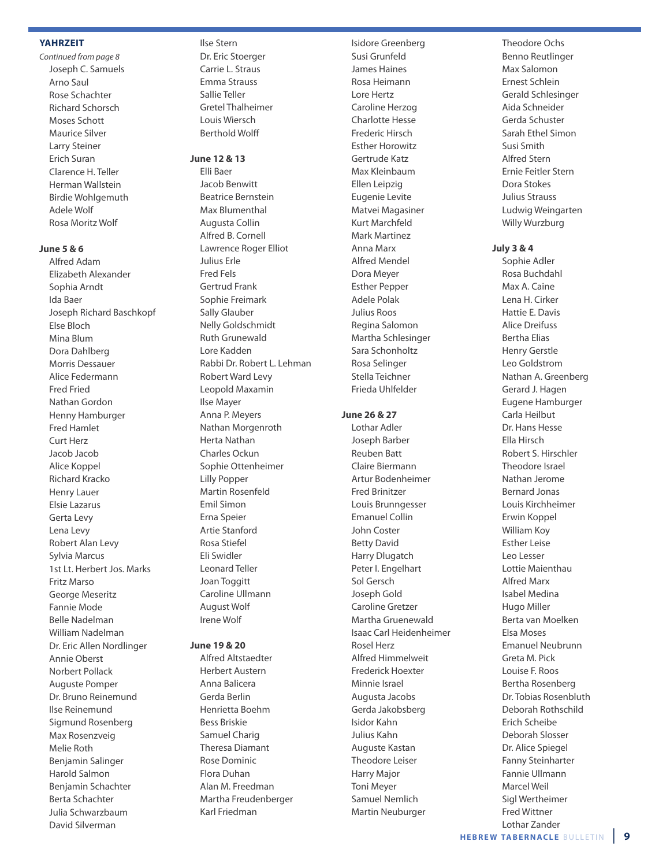#### **yaHrzEiT**

Continued from page 8 Joseph C. Samuels arno Saul Rose Schachter Richard Schorsch Moses Schott Maurice Silver larry Steiner **Erich Suran** Clarence H. Teller Herman Wallstein Birdie Wohlgemuth adele Wolf Rosa Moritz Wolf

#### **June 5 & 6**

Alfred Adam

elizabeth alexander Sophia Arndt Ida Baer Joseph Richard Baschkopf Else Bloch Mina Blum Dora Dahlberg Morris Dessauer alice Federmann Fred Fried Nathan Gordon Henny Hamburger Fred Hamlet Curt Herz Jacob Jacob alice Koppel Richard Kracko Henry lauer elsie lazarus Gerta levy lena levy Robert Alan Levy Sylvia Marcus 1st lt. Herbert Jos. Marks Fritz Marso George Meseritz Fannie Mode Belle nadelman William Nadelman Dr. Eric Allen Nordlinger annie oberst Norbert Pollack **Auguste Pomper** Dr. Bruno Reinemund Ilse Reinemund Sigmund Rosenberg Max Rosenzveig Melie Roth Benjamin Salinger Harold Salmon Benjamin Schachter Berta Schachter Julia Schwarzbaum David Silverman

#### Ilse Stern Dr. Eric Stoerger Carrie l. Straus emma Strauss Sallie Teller Gretel Thalheimer louis Wiersch Berthold Wolff

#### **June 12 & 13**

elli Baer Jacob Benwitt Beatrice Bernstein Max Blumenthal augusta Collin alfred B. Cornell Lawrence Roger Elliot Julius Erle Fred Fels Gertrud Frank Sophie Freimark Sally Glauber **Nelly Goldschmidt** Ruth Grunewald lore Kadden Rabbi Dr. Robert l. lehman Robert Ward levy leopold Maxamin Ilse Mayer Anna P. Meyers Nathan Morgenroth Herta Nathan Charles ockun Sophie ottenheimer lilly Popper Martin Rosenfeld Emil Simon Erna Speier artie Stanford Rosa Stiefel eli Swidler leonard Teller Joan Toggitt Caroline Ullmann **August Wolf** Irene Wolf

#### **June 19 & 20**

alfred altstaedter Herbert Austern anna Balicera Gerda Berlin Henrietta Boehm Bess Briskie Samuel Charig Theresa Diamant Rose Dominic Flora Duhan alan M. Freedman Martha Freudenberger Karl Friedman

Isidore Greenberg Susi Grunfeld James Haines Rosa Heimann lore Hertz Caroline Herzog Charlotte Hesse Frederic Hirsch esther Horowitz Gertrude Katz Max Kleinbaum ellen leipzig Eugenie Levite Matvei Magasiner Kurt Marchfeld Mark Martinez anna Marx alfred Mendel Dora Meyer **Esther Pepper** adele Polak Julius Roos Regina Salomon Martha Schlesinger Sara Schonholtz Rosa Selinger Stella Teichner Frieda uhlfelder

#### **June 26 & 27**

Lothar Adler Joseph Barber Reuben Batt Claire Biermann artur Bodenheimer Fred Brinitzer louis Brunngesser **Emanuel Collin** John Coster Betty David Harry Dlugatch Peter I. Engelhart Sol Gersch Joseph Gold Caroline Gretzer Martha Gruenewald Isaac Carl Heidenheimer Rosel Herz alfred Himmelweit Frederick Hoexter Minnie Israel augusta Jacobs Gerda Jakobsberg Isidor Kahn Julius Kahn auguste Kastan Theodore leiser Harry Major Toni Meyer Samuel Nemlich **Martin Neuburger** 

**Theodore Ochs** Benno Reutlinger Max Salomon Ernest Schlein Gerald Schlesinger aida Schneider Gerda Schuster Sarah Ethel Simon Susi Smith alfred Stern ernie Feitler Stern Dora Stokes Julius Strauss ludwig Weingarten Willy Wurzburg

#### **July 3 & 4**

Sophie Adler Rosa Buchdahl Max A. Caine lena H. Cirker Hattie E. Davis alice Dreifuss **Bertha Elias** Henry Gerstle leo Goldstrom Nathan A. Greenberg Gerard J. Hagen Eugene Hamburger Carla Heilbut Dr. Hans Hesse ella Hirsch Robert S. Hirschler Theodore Israel nathan Jerome Bernard Jonas louis Kirchheimer **Erwin Koppel** William Koy **Esther Leise** leo lesser lottie Maienthau alfred Marx Isabel Medina Hugo Miller Berta van Moelken elsa Moses Emanuel Neubrunn Greta M. Pick louise F. Roos Bertha Rosenberg Dr. Tobias Rosenbluth Deborah Rothschild Erich Scheibe Deborah Slosser Dr. Alice Spiegel Fanny Steinharter Fannie Ullmann Marcel Weil Sigl Wertheimer Fred Wittner lothar Zander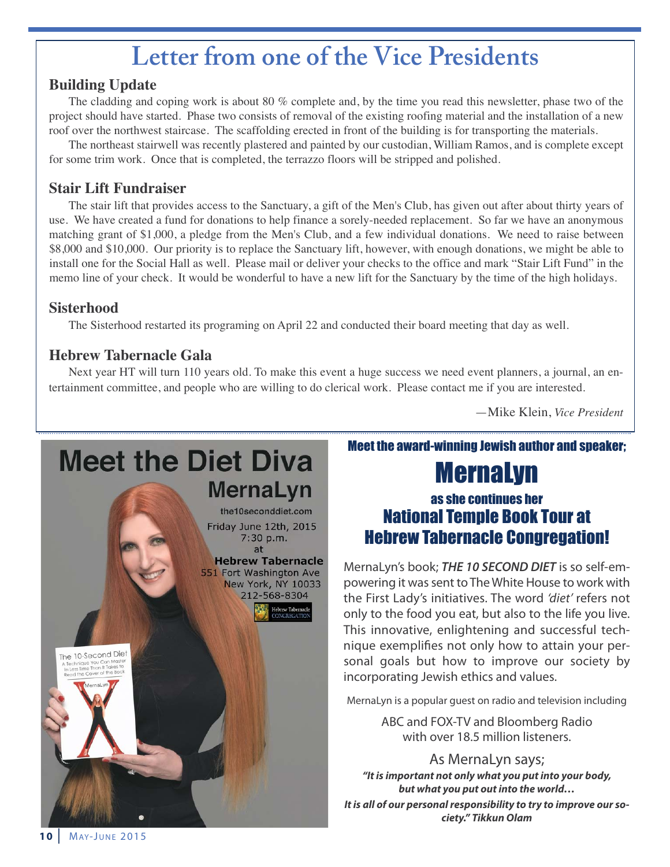# **Letter from one of the Vice Presidents**

## **Building Update**

The cladding and coping work is about 80 % complete and, by the time you read this newsletter, phase two of the project should have started. Phase two consists of removal of the existing roofing material and the installation of a new roof over the northwest staircase. The scaffolding erected in front of the building is for transporting the materials.

The northeast stairwell was recently plastered and painted by our custodian, William Ramos, and is complete except for some trim work. Once that is completed, the terrazzo floors will be stripped and polished.

## **Stair Lift Fundraiser**

The stair lift that provides access to the Sanctuary, a gift of the Men's Club, has given out after about thirty years of use. We have created a fund for donations to help finance a sorely-needed replacement. So far we have an anonymous matching grant of \$1,000, a pledge from the Men's Club, and a few individual donations. We need to raise between \$8,000 and \$10,000. Our priority is to replace the Sanctuary lift, however, with enough donations, we might be able to install one for the Social Hall as well. Please mail or deliver your checks to the office and mark "Stair Lift Fund" in the memo line of your check. It would be wonderful to have a new lift for the Sanctuary by the time of the high holidays.

## **Sisterhood**

The Sisterhood restarted its programing on April 22 and conducted their board meeting that day as well.

## **Hebrew Tabernacle Gala**

Next year HT will turn 110 years old. To make this event a huge success we need event planners, a journal, an entertainment committee, and people who are willing to do clerical work. Please contact me if you are interested.

—Mike Klein, *Vice President*

# **Meet the Diet Diva** MernaLyn the10seconddiet.com Friday June 12th, 2015 7:30 p.m.  $at$ **Hebrew Tabernacle** 551 Fort Washington Ave New York, NY 10033 212-568-8304 The 10-Second Diet

## Meet the award-winning Jewish author and speaker;

# MernaLyn

# as she continues her National Temple Book Tour at Hebrew Tabernacle Congregation!

Mernalyn's book; *THE 10 SECOND DIET* is so self-empowering it was sent to The White House to work with the First lady's initiatives. The word 'diet' refers not only to the food you eat, but also to the life you live. This innovative, enlightening and successful technique exemplifies not only how to attain your personal goals but how to improve our society by incorporating Jewish ethics and values.

Mernalyn is a popular guest on radio and television including

aBC and FoX-TV and Bloomberg Radio with over 18.5 million listeners.

### As MernaLyn says;

*"It is important not only what you put into your body, but what you put out into the world… It is all of our personal responsibility to try to improve our society." Tikkun Olam*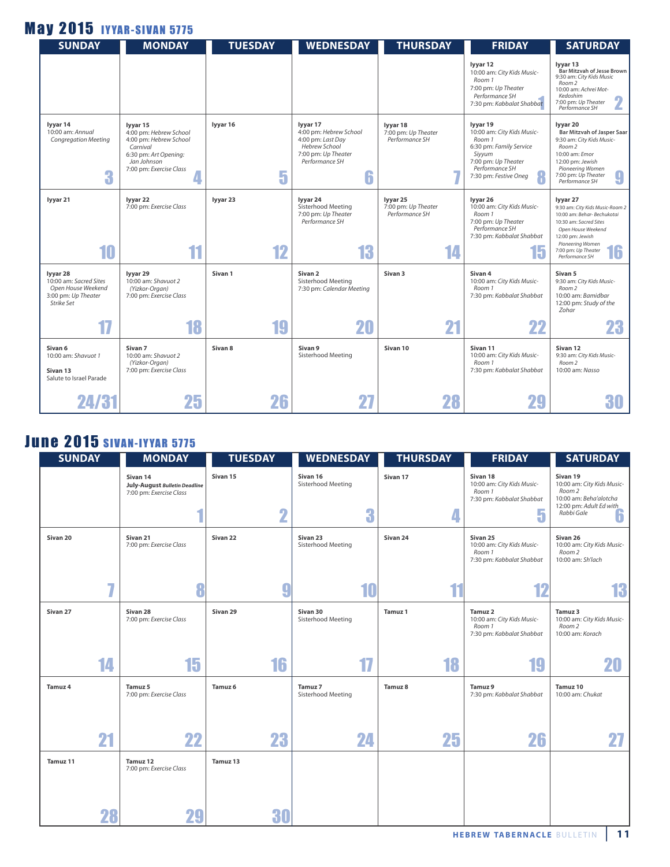# **May 2015 IYYAR-SIVAN 5775**

| <b>SUNDAY</b>                                                                                        | <b>MONDAY</b>                                                                                                                               | <b>TUESDAY</b> | <b>WEDNESDAY</b>                                                                                                       | <b>THURSDAY</b>                                         | <b>FRIDAY</b>                                                                                                                                           | <b>SATURDAY</b>                                                                                                                                                                                            |
|------------------------------------------------------------------------------------------------------|---------------------------------------------------------------------------------------------------------------------------------------------|----------------|------------------------------------------------------------------------------------------------------------------------|---------------------------------------------------------|---------------------------------------------------------------------------------------------------------------------------------------------------------|------------------------------------------------------------------------------------------------------------------------------------------------------------------------------------------------------------|
|                                                                                                      |                                                                                                                                             |                |                                                                                                                        |                                                         | lyyar 12<br>10:00 am: City Kids Music-<br>Room 1<br>7:00 pm: Up Theater<br>Performance SH<br>7:30 pm: Kabbalat Shabbat                                  | lyyar 13<br><b>Bar Mitzvah of Jesse Brown</b><br>9:30 am: City Kids Music<br>Room 2<br>10:00 am: Achrei Mot-<br>Kedoshim<br>7:00 pm: Up Theater<br>Performance SH                                          |
| lyyar 14<br>10:00 am: Annual<br><b>Congregation Meeting</b><br>3                                     | lyyar 15<br>4:00 pm: Hebrew School<br>4:00 pm: Hebrew School<br>Carnival<br>6:30 pm: Art Opening:<br>Jan Johnson<br>7:00 pm: Exercise Class | lyyar 16<br>5  | lyyar 17<br>4:00 pm: Hebrew School<br>4:00 pm: Last Day<br>Hebrew School<br>7:00 pm: Up Theater<br>Performance SH<br>6 | lyyar 18<br>7:00 pm: Up Theater<br>Performance SH       | lyyar 19<br>10:00 am: City Kids Music-<br>Room 1<br>6:30 pm: Family Service<br>Siyyum<br>7:00 pm: Up Theater<br>Performance SH<br>7:30 pm: Festive Oneg | lyyar 20<br>Bar Mitzvah of Jasper Saar<br>9:30 am: City Kids Music-<br>Room <sub>2</sub><br>10:00 am: Emor<br>12:00 pm: Jewish<br>Pioneering Women<br>9<br>7:00 pm: Up Theater<br>Performance SH           |
| lyyar 21<br>10                                                                                       | lyyar 22<br>7:00 pm: Exercise Class<br>11                                                                                                   | lyyar 23<br>12 | lyyar 24<br>Sisterhood Meeting<br>7:00 pm: Up Theater<br>Performance SH<br>13                                          | lyyar 25<br>7:00 pm: Up Theater<br>Performance SH<br>14 | lyyar 26<br>10:00 am: City Kids Music-<br>Room 1<br>7:00 pm: Up Theater<br>Performance SH<br>7:30 pm: Kabbalat Shabbat<br>15                            | lyyar 27<br>9:30 am: City Kids Music-Room 2<br>10:00 am: Behar-Bechukotai<br>10:30 am: Sacred Sites<br>Open House Weekend<br>12:00 pm: Jewish<br>Pioneering Women<br>7:00 pm: Up Theater<br>Performance SH |
| lyyar 28<br>10:00 am: Sacred Sites<br>Open House Weekend<br>3:00 pm: Up Theater<br><b>Strike Set</b> | lyyar 29<br>10:00 am: Shavuot 2<br>(Yizkor-Organ)<br>7:00 pm: Exercise Class                                                                | Sivan 1        | Sivan 2<br>Sisterhood Meeting<br>7:30 pm: Calendar Meeting                                                             | Sivan <sub>3</sub>                                      | Sivan 4<br>10:00 am: City Kids Music-<br>Room 1<br>7:30 pm: Kabbalat Shabbat                                                                            | Sivan 5<br>9:30 am: City Kids Music-<br>Room <sub>2</sub><br>10:00 am: Bamidbar<br>12:00 pm: Study of the<br>Zohar                                                                                         |
| 17                                                                                                   | 18                                                                                                                                          | 19             | 20                                                                                                                     | 21                                                      | 22                                                                                                                                                      | 23                                                                                                                                                                                                         |
| Sivan 6<br>10:00 am: Shavuot 1<br>Sivan 13<br>Salute to Israel Parade                                | Sivan 7<br>10:00 am: Shavuot 2<br>(Yizkor-Organ)<br>7:00 pm: Exercise Class                                                                 | Sivan 8        | Sivan 9<br>Sisterhood Meeting                                                                                          | Sivan 10                                                | Sivan 11<br>10:00 am: City Kids Music-<br>Room 1<br>7:30 pm: Kabbalat Shabbat                                                                           | Sivan 12<br>9:30 am: City Kids Music-<br>Room <sub>2</sub><br>10:00 am: Nasso                                                                                                                              |
| 24 R F                                                                                               | 25                                                                                                                                          | 26             |                                                                                                                        |                                                         |                                                                                                                                                         |                                                                                                                                                                                                            |

# **June 2015 SIVAN-IYYAR 5775**

| <b>SUNDAY</b>       | <b>MONDAY</b>                                                        | <b>TUESDAY</b>                      | <b>WEDNESDAY</b>                          | <b>THURSDAY</b> | <b>FRIDAY</b>                                                                            | <b>SATURDAY</b>                                                                                                          |
|---------------------|----------------------------------------------------------------------|-------------------------------------|-------------------------------------------|-----------------|------------------------------------------------------------------------------------------|--------------------------------------------------------------------------------------------------------------------------|
|                     | Sivan 14<br>July-August Bulletin Deadline<br>7:00 pm: Exercise Class | Sivan 15<br>$\overline{\mathbf{2}}$ | Sivan 16<br>Sisterhood Meeting<br>3       | Sivan 17<br>4   | Sivan 18<br>10:00 am: City Kids Music-<br>Room 1<br>7:30 pm: Kabbalat Shabbat<br>5       | Sivan 19<br>10:00 am: City Kids Music-<br>Room 2<br>10:00 am: Beha'alotcha<br>12:00 pm: Adult Ed with<br>Rabbi Gale<br>6 |
| Sivan <sub>20</sub> | Sivan 21<br>7:00 pm: Exercise Class                                  | Sivan 22                            | Sivan <sub>23</sub><br>Sisterhood Meeting | Sivan 24        | Sivan <sub>25</sub><br>10:00 am: City Kids Music-<br>Room 1<br>7:30 pm: Kabbalat Shabbat | Sivan 26<br>10:00 am: City Kids Music-<br>Room 2<br>10:00 am: Sh'lach                                                    |
|                     | 7                                                                    | g                                   | 10                                        |                 | -10                                                                                      | 13                                                                                                                       |
| Sivan 27            | Sivan 28<br>7:00 pm: Exercise Class                                  | Sivan 29                            | Sivan 30<br>Sisterhood Meeting            | Tamuz 1         | Tamuz 2<br>10:00 am: City Kids Music-<br>Room 1<br>7:30 pm: Kabbalat Shabbat             | Tamuz 3<br>10:00 am: City Kids Music-<br>Room 2<br>10:00 am: Korach                                                      |
| 14                  | 15                                                                   | 16                                  | 17                                        | 18              | 19                                                                                       | 20                                                                                                                       |
| <b>Tamuz 4</b>      | Tamuz 5<br>7:00 pm: Exercise Class                                   | Tamuz <sub>6</sub>                  | Tamuz 7<br>Sisterhood Meeting             | Tamuz 8         | Tamuz 9<br>7:30 pm: Kabbalat Shabbat                                                     | Tamuz 10<br>10:00 am: Chukat                                                                                             |
| 21                  | 22                                                                   | 23                                  | 24                                        | 25              | 26                                                                                       | 27                                                                                                                       |
| Tamuz 11            | Tamuz 12<br>7:00 pm: Exercise Class                                  | Tamuz 13                            |                                           |                 |                                                                                          |                                                                                                                          |
| 28                  | 29                                                                   | 30                                  |                                           |                 |                                                                                          |                                                                                                                          |